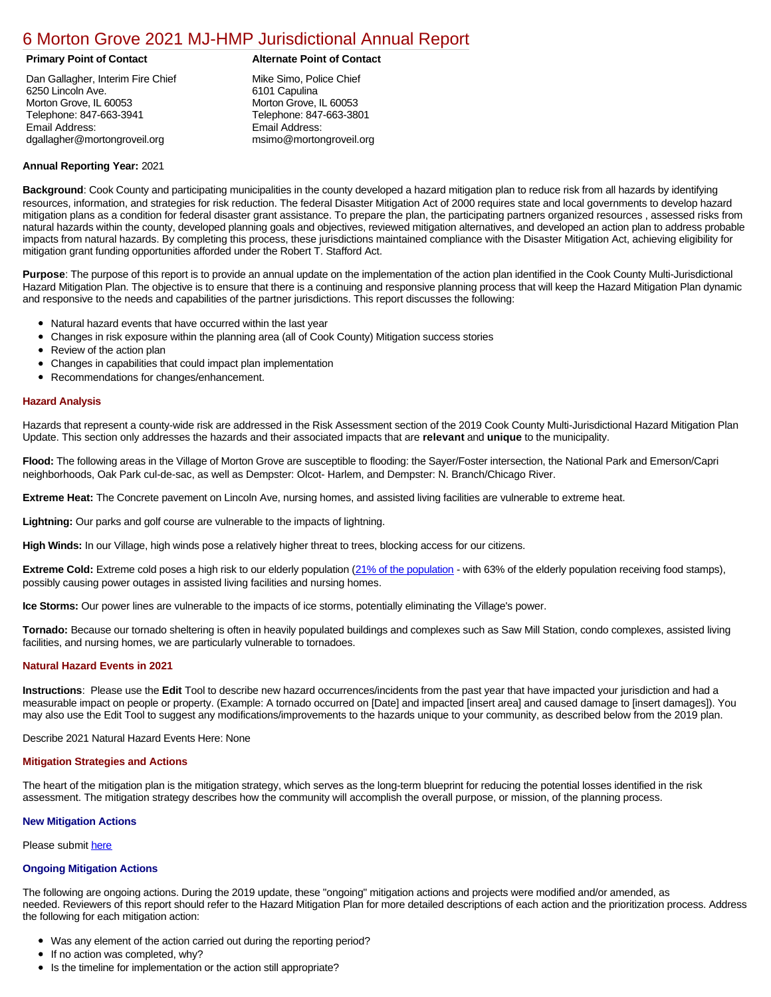# [6 Morton Grove 2021 MJ-HMP Jurisdictional Annual Report](https://morton.isc-cemp.com/Cemp/Details?id=8322811)

# **Primary Point of Contact Alternate Point of Contact**

Dan Gallagher, Interim Fire Chief 6250 Lincoln Ave. Morton Grove, IL 60053 Telephone: 847-663-3941 Email Address: dgallagher@mortongroveil.org

Mike Simo, Police Chief 6101 Capulina Morton Grove, IL 60053 Telephone: 847-663-3801 Email Address: msimo@mortongroveil.org

# **Annual Reporting Year:** 2021

**Background**: Cook County and participating municipalities in the county developed a hazard mitigation plan to reduce risk from all hazards by identifying resources, information, and strategies for risk reduction. The federal Disaster Mitigation Act of 2000 requires state and local governments to develop hazard mitigation plans as a condition for federal disaster grant assistance. To prepare the plan, the participating partners organized resources , assessed risks from natural hazards within the county, developed planning goals and objectives, reviewed mitigation alternatives, and developed an action plan to address probable impacts from natural hazards. By completing this process, these jurisdictions maintained compliance with the Disaster Mitigation Act, achieving eligibility for mitigation grant funding opportunities afforded under the Robert T. Stafford Act.

**Purpose**: The purpose of this report is to provide an annual update on the implementation of the action plan identified in the Cook County Multi-Jurisdictional Hazard Mitigation Plan. The objective is to ensure that there is a continuing and responsive planning process that will keep the Hazard Mitigation Plan dynamic and responsive to the needs and capabilities of the partner jurisdictions. This report discusses the following:

- Natural hazard events that have occurred within the last year
- Changes in risk exposure within the planning area (all of Cook County) Mitigation success stories
- Review of the action plan
- Changes in capabilities that could impact plan implementation
- Recommendations for changes/enhancement.

# **Hazard Analysis**

Hazards that represent a county-wide risk are addressed in the Risk Assessment section of the 2019 Cook County Multi-Jurisdictional Hazard Mitigation Plan Update. This section only addresses the hazards and their associated impacts that are **relevant** and **unique** to the municipality.

**Flood:** The following areas in the Village of Morton Grove are susceptible to flooding: the Sayer/Foster intersection, the National Park and Emerson/Capri neighborhoods, Oak Park cul-de-sac, as well as Dempster: Olcot- Harlem, and Dempster: N. Branch/Chicago River.

**Extreme Heat:** The Concrete pavement on Lincoln Ave, nursing homes, and assisted living facilities are vulnerable to extreme heat.

**Lightning:** Our parks and golf course are vulnerable to the impacts of lightning.

**High Winds:** In our Village, high winds pose a relatively higher threat to trees, blocking access for our citizens.

**Extreme Cold:** Extreme cold poses a high risk to our elderly population [\(21% of the population](https://www.seniorcare.com/directory/il/morton-grove/#key-senior-statistics) - with 63% of the elderly population receiving food stamps), possibly causing power outages in assisted living facilities and nursing homes.

**Ice Storms:** Our power lines are vulnerable to the impacts of ice storms, potentially eliminating the Village's power.

**Tornado:** Because our tornado sheltering is often in heavily populated buildings and complexes such as Saw Mill Station, condo complexes, assisted living facilities, and nursing homes, we are particularly vulnerable to tornadoes.

### **Natural Hazard Events in 2021**

**Instructions**: Please use the **Edit** Tool to describe new hazard occurrences/incidents from the past year that have impacted your jurisdiction and had a measurable impact on people or property. (Example: A tornado occurred on [Date] and impacted [insert area] and caused damage to [insert damages]). You may also use the Edit Tool to suggest any modifications/improvements to the hazards unique to your community, as described below from the 2019 plan.

Describe 2021 Natural Hazard Events Here: None

### **Mitigation Strategies and Actions**

The heart of the mitigation plan is the mitigation strategy, which serves as the long-term blueprint for reducing the potential losses identified in the risk assessment. The mitigation strategy describes how the community will accomplish the overall purpose, or mission, of the planning process.

### **New Mitigation Actions**

Please submit [here](https://integratedsolutions.wufoo.com/forms/mg21jvf0jn639o/)

## **Ongoing Mitigation Actions**

The following are ongoing actions. During the 2019 update, these "ongoing" mitigation actions and projects were modified and/or amended, as needed. Reviewers of this report should refer to the Hazard Mitigation Plan for more detailed descriptions of each action and the prioritization process. Address the following for each mitigation action:

- Was any element of the action carried out during the reporting period?
- If no action was completed, why?
- Is the timeline for implementation or the action still appropriate?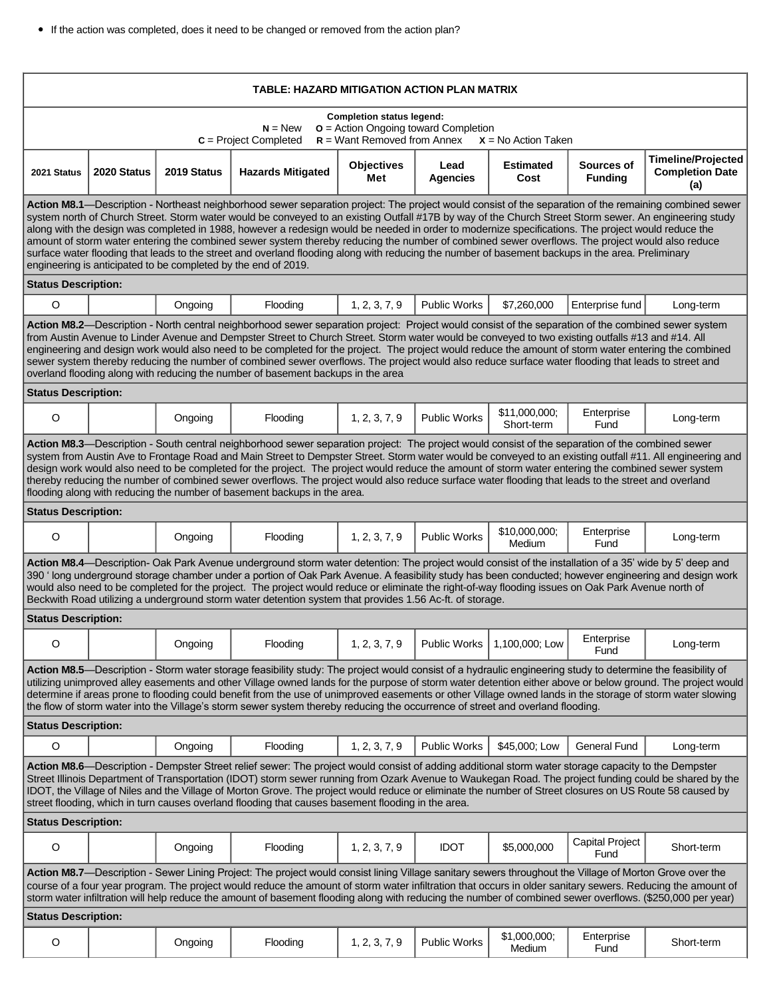If the action was completed, does it need to be changed or removed from the action plan?

| TABLE: HAZARD MITIGATION ACTION PLAN MATRIX                                                                                                                                                                                                                                                                                                                                                                                                                                                                                                                                                                                                                                                                                                                                                                                                      |             |             |                          |                          |                         |                               |                                |                                                            |
|--------------------------------------------------------------------------------------------------------------------------------------------------------------------------------------------------------------------------------------------------------------------------------------------------------------------------------------------------------------------------------------------------------------------------------------------------------------------------------------------------------------------------------------------------------------------------------------------------------------------------------------------------------------------------------------------------------------------------------------------------------------------------------------------------------------------------------------------------|-------------|-------------|--------------------------|--------------------------|-------------------------|-------------------------------|--------------------------------|------------------------------------------------------------|
| <b>Completion status legend:</b><br>$N = New$<br>$o$ = Action Ongoing toward Completion<br>$c =$ Project Completed<br>$R =$ Want Removed from Annex<br>$X = No$ Action Taken                                                                                                                                                                                                                                                                                                                                                                                                                                                                                                                                                                                                                                                                     |             |             |                          |                          |                         |                               |                                |                                                            |
| 2021 Status                                                                                                                                                                                                                                                                                                                                                                                                                                                                                                                                                                                                                                                                                                                                                                                                                                      | 2020 Status | 2019 Status | <b>Hazards Mitigated</b> | <b>Objectives</b><br>Met | Lead<br><b>Agencies</b> | <b>Estimated</b><br>Cost      | Sources of<br><b>Funding</b>   | <b>Timeline/Projected</b><br><b>Completion Date</b><br>(a) |
| Action M8.1—Description - Northeast neighborhood sewer separation project: The project would consist of the separation of the remaining combined sewer<br>system north of Church Street. Storm water would be conveyed to an existing Outfall #17B by way of the Church Street Storm sewer. An engineering study<br>along with the design was completed in 1988, however a redesign would be needed in order to modernize specifications. The project would reduce the<br>amount of storm water entering the combined sewer system thereby reducing the number of combined sewer overflows. The project would also reduce<br>surface water flooding that leads to the street and overland flooding along with reducing the number of basement backups in the area. Preliminary<br>engineering is anticipated to be completed by the end of 2019. |             |             |                          |                          |                         |                               |                                |                                                            |
| <b>Status Description:</b>                                                                                                                                                                                                                                                                                                                                                                                                                                                                                                                                                                                                                                                                                                                                                                                                                       |             |             |                          |                          |                         |                               |                                |                                                            |
| $\circ$                                                                                                                                                                                                                                                                                                                                                                                                                                                                                                                                                                                                                                                                                                                                                                                                                                          |             | Ongoing     | Flooding                 | 1, 2, 3, 7, 9            | <b>Public Works</b>     | \$7,260,000                   | Enterprise fund                | Long-term                                                  |
| Action M8.2—Description - North central neighborhood sewer separation project: Project would consist of the separation of the combined sewer system<br>from Austin Avenue to Linder Avenue and Dempster Street to Church Street. Storm water would be conveyed to two existing outfalls #13 and #14. All<br>engineering and design work would also need to be completed for the project. The project would reduce the amount of storm water entering the combined<br>sewer system thereby reducing the number of combined sewer overflows. The project would also reduce surface water flooding that leads to street and<br>overland flooding along with reducing the number of basement backups in the area                                                                                                                                     |             |             |                          |                          |                         |                               |                                |                                                            |
| <b>Status Description:</b>                                                                                                                                                                                                                                                                                                                                                                                                                                                                                                                                                                                                                                                                                                                                                                                                                       |             |             |                          |                          |                         |                               |                                |                                                            |
| O                                                                                                                                                                                                                                                                                                                                                                                                                                                                                                                                                                                                                                                                                                                                                                                                                                                |             | Ongoing     | Flooding                 | 1, 2, 3, 7, 9            | <b>Public Works</b>     | \$11,000,000;<br>Short-term   | Enterprise<br>Fund             | Long-term                                                  |
| Action M8.3-Description - South central neighborhood sewer separation project: The project would consist of the separation of the combined sewer<br>system from Austin Ave to Frontage Road and Main Street to Dempster Street. Storm water would be conveyed to an existing outfall #11. All engineering and<br>design work would also need to be completed for the project. The project would reduce the amount of storm water entering the combined sewer system<br>thereby reducing the number of combined sewer overflows. The project would also reduce surface water flooding that leads to the street and overland<br>flooding along with reducing the number of basement backups in the area.                                                                                                                                           |             |             |                          |                          |                         |                               |                                |                                                            |
| <b>Status Description:</b>                                                                                                                                                                                                                                                                                                                                                                                                                                                                                                                                                                                                                                                                                                                                                                                                                       |             |             |                          |                          |                         |                               |                                |                                                            |
| O                                                                                                                                                                                                                                                                                                                                                                                                                                                                                                                                                                                                                                                                                                                                                                                                                                                |             | Ongoing     | Flooding                 | 1, 2, 3, 7, 9            | <b>Public Works</b>     | \$10,000,000;<br>Medium       | Enterprise<br>Fund             | Long-term                                                  |
| Action M8.4—Description- Oak Park Avenue underground storm water detention: The project would consist of the installation of a 35' wide by 5' deep and<br>390 'long underground storage chamber under a portion of Oak Park Avenue. A feasibility study has been conducted; however engineering and design work<br>would also need to be completed for the project. The project would reduce or eliminate the right-of-way flooding issues on Oak Park Avenue north of<br>Beckwith Road utilizing a underground storm water detention system that provides 1.56 Ac-ft. of storage.                                                                                                                                                                                                                                                               |             |             |                          |                          |                         |                               |                                |                                                            |
| <b>Status Description:</b>                                                                                                                                                                                                                                                                                                                                                                                                                                                                                                                                                                                                                                                                                                                                                                                                                       |             |             |                          |                          |                         |                               |                                |                                                            |
| O                                                                                                                                                                                                                                                                                                                                                                                                                                                                                                                                                                                                                                                                                                                                                                                                                                                |             | Ongoing     | Flooding                 | 1, 2, 3, 7, 9            |                         | Public Works   1,100,000; Low | Enterprise<br>Fund             | Long-term                                                  |
| Action M8.5—Description - Storm water storage feasibility study: The project would consist of a hydraulic engineering study to determine the feasibility of<br>utilizing unimproved alley easements and other Village owned lands for the purpose of storm water detention either above or below ground. The project would<br>determine if areas prone to flooding could benefit from the use of unimproved easements or other Village owned lands in the storage of storm water slowing<br>the flow of storm water into the Village's storm sewer system thereby reducing the occurrence of street and overland flooding.                                                                                                                                                                                                                       |             |             |                          |                          |                         |                               |                                |                                                            |
| <b>Status Description:</b>                                                                                                                                                                                                                                                                                                                                                                                                                                                                                                                                                                                                                                                                                                                                                                                                                       |             |             |                          |                          |                         |                               |                                |                                                            |
| O                                                                                                                                                                                                                                                                                                                                                                                                                                                                                                                                                                                                                                                                                                                                                                                                                                                |             | Ongoing     | Flooding                 | 1, 2, 3, 7, 9            | <b>Public Works</b>     | \$45,000; Low                 | General Fund                   | Long-term                                                  |
| Action M8.6—Description - Dempster Street relief sewer: The project would consist of adding additional storm water storage capacity to the Dempster<br>Street Illinois Department of Transportation (IDOT) storm sewer running from Ozark Avenue to Waukegan Road. The project funding could be shared by the<br>IDOT, the Village of Niles and the Village of Morton Grove. The project would reduce or eliminate the number of Street closures on US Route 58 caused by<br>street flooding, which in turn causes overland flooding that causes basement flooding in the area.                                                                                                                                                                                                                                                                  |             |             |                          |                          |                         |                               |                                |                                                            |
| <b>Status Description:</b>                                                                                                                                                                                                                                                                                                                                                                                                                                                                                                                                                                                                                                                                                                                                                                                                                       |             |             |                          |                          |                         |                               |                                |                                                            |
| $\mathsf O$                                                                                                                                                                                                                                                                                                                                                                                                                                                                                                                                                                                                                                                                                                                                                                                                                                      |             | Ongoing     | Flooding                 | 1, 2, 3, 7, 9            | <b>IDOT</b>             | \$5,000,000                   | <b>Capital Project</b><br>Fund | Short-term                                                 |
| Action M8.7-Description - Sewer Lining Project: The project would consist lining Village sanitary sewers throughout the Village of Morton Grove over the<br>course of a four year program. The project would reduce the amount of storm water infiltration that occurs in older sanitary sewers. Reducing the amount of<br>storm water infiltration will help reduce the amount of basement flooding along with reducing the number of combined sewer overflows. (\$250,000 per year)                                                                                                                                                                                                                                                                                                                                                            |             |             |                          |                          |                         |                               |                                |                                                            |
| <b>Status Description:</b>                                                                                                                                                                                                                                                                                                                                                                                                                                                                                                                                                                                                                                                                                                                                                                                                                       |             |             |                          |                          |                         |                               |                                |                                                            |
| O                                                                                                                                                                                                                                                                                                                                                                                                                                                                                                                                                                                                                                                                                                                                                                                                                                                |             | Ongoing     | Flooding                 | 1, 2, 3, 7, 9            | <b>Public Works</b>     | \$1,000,000;<br>Medium        | Enterprise<br>Fund             | Short-term                                                 |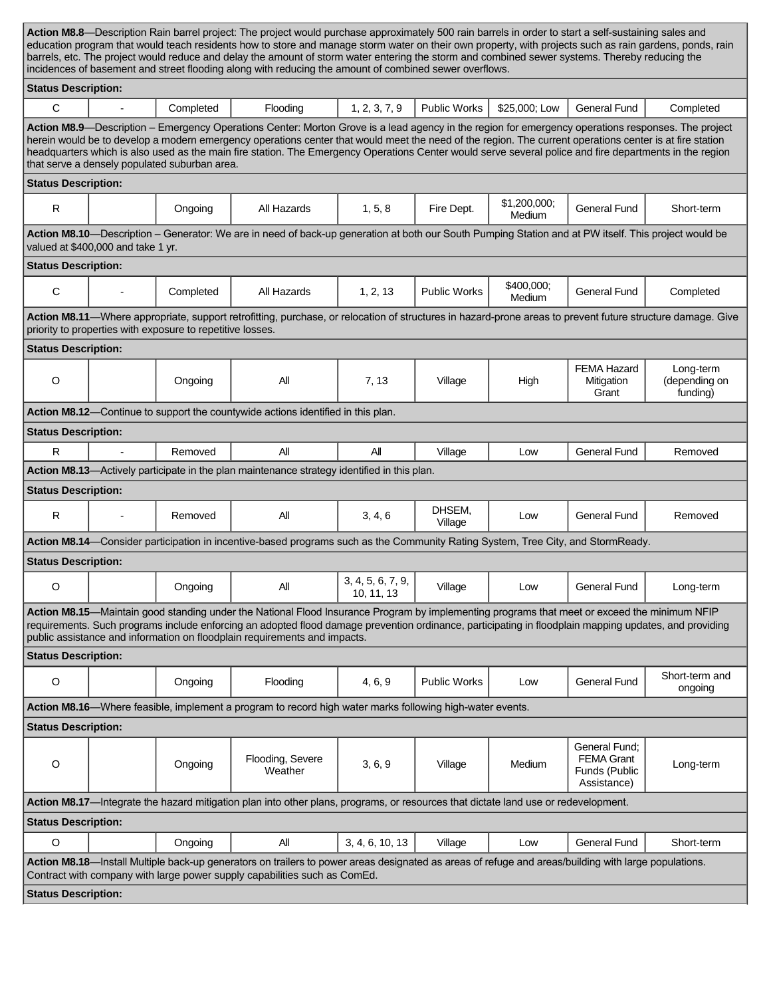| Action M8.8—Description Rain barrel project: The project would purchase approximately 500 rain barrels in order to start a self-sustaining sales and<br>education program that would teach residents how to store and manage storm water on their own property, with projects such as rain gardens, ponds, rain                                                                                                                                                                                                            |                                    |           |                                                                                                                                                      |                                 |                     |                        |                                                                    |                                        |  |
|----------------------------------------------------------------------------------------------------------------------------------------------------------------------------------------------------------------------------------------------------------------------------------------------------------------------------------------------------------------------------------------------------------------------------------------------------------------------------------------------------------------------------|------------------------------------|-----------|------------------------------------------------------------------------------------------------------------------------------------------------------|---------------------------------|---------------------|------------------------|--------------------------------------------------------------------|----------------------------------------|--|
| barrels, etc. The project would reduce and delay the amount of storm water entering the storm and combined sewer systems. Thereby reducing the<br>incidences of basement and street flooding along with reducing the amount of combined sewer overflows.                                                                                                                                                                                                                                                                   |                                    |           |                                                                                                                                                      |                                 |                     |                        |                                                                    |                                        |  |
| <b>Status Description:</b>                                                                                                                                                                                                                                                                                                                                                                                                                                                                                                 |                                    |           |                                                                                                                                                      |                                 |                     |                        |                                                                    |                                        |  |
| $\mathsf{C}$                                                                                                                                                                                                                                                                                                                                                                                                                                                                                                               | $\blacksquare$                     | Completed | Flooding                                                                                                                                             | 1, 2, 3, 7, 9                   | <b>Public Works</b> | \$25,000; Low          | <b>General Fund</b>                                                | Completed                              |  |
| Action M8.9—Description – Emergency Operations Center: Morton Grove is a lead agency in the region for emergency operations responses. The project<br>herein would be to develop a modern emergency operations center that would meet the need of the region. The current operations center is at fire station<br>headquarters which is also used as the main fire station. The Emergency Operations Center would serve several police and fire departments in the region<br>that serve a densely populated suburban area. |                                    |           |                                                                                                                                                      |                                 |                     |                        |                                                                    |                                        |  |
|                                                                                                                                                                                                                                                                                                                                                                                                                                                                                                                            | <b>Status Description:</b>         |           |                                                                                                                                                      |                                 |                     |                        |                                                                    |                                        |  |
| ${\sf R}$                                                                                                                                                                                                                                                                                                                                                                                                                                                                                                                  |                                    | Ongoing   | All Hazards                                                                                                                                          | 1, 5, 8                         | Fire Dept.          | \$1,200,000;<br>Medium | <b>General Fund</b>                                                | Short-term                             |  |
|                                                                                                                                                                                                                                                                                                                                                                                                                                                                                                                            | valued at \$400,000 and take 1 yr. |           | Action M8.10-Description - Generator: We are in need of back-up generation at both our South Pumping Station and at PW itself. This project would be |                                 |                     |                        |                                                                    |                                        |  |
| <b>Status Description:</b>                                                                                                                                                                                                                                                                                                                                                                                                                                                                                                 |                                    |           |                                                                                                                                                      |                                 |                     |                        |                                                                    |                                        |  |
| C                                                                                                                                                                                                                                                                                                                                                                                                                                                                                                                          |                                    | Completed | All Hazards                                                                                                                                          | 1, 2, 13                        | <b>Public Works</b> | \$400,000;<br>Medium   | <b>General Fund</b>                                                | Completed                              |  |
| Action M8.11-Where appropriate, support retrofitting, purchase, or relocation of structures in hazard-prone areas to prevent future structure damage. Give<br>priority to properties with exposure to repetitive losses.                                                                                                                                                                                                                                                                                                   |                                    |           |                                                                                                                                                      |                                 |                     |                        |                                                                    |                                        |  |
| <b>Status Description:</b>                                                                                                                                                                                                                                                                                                                                                                                                                                                                                                 |                                    |           |                                                                                                                                                      |                                 |                     |                        |                                                                    |                                        |  |
| $\circ$                                                                                                                                                                                                                                                                                                                                                                                                                                                                                                                    |                                    | Ongoing   | All                                                                                                                                                  | 7, 13                           | Village             | High                   | <b>FEMA Hazard</b><br>Mitigation<br>Grant                          | Long-term<br>(depending on<br>funding) |  |
|                                                                                                                                                                                                                                                                                                                                                                                                                                                                                                                            |                                    |           | Action M8.12-Continue to support the countywide actions identified in this plan.                                                                     |                                 |                     |                        |                                                                    |                                        |  |
| <b>Status Description:</b>                                                                                                                                                                                                                                                                                                                                                                                                                                                                                                 |                                    |           |                                                                                                                                                      |                                 |                     |                        |                                                                    |                                        |  |
| R                                                                                                                                                                                                                                                                                                                                                                                                                                                                                                                          |                                    | Removed   | All                                                                                                                                                  | Αll                             | Village             | Low                    | <b>General Fund</b>                                                | Removed                                |  |
|                                                                                                                                                                                                                                                                                                                                                                                                                                                                                                                            |                                    |           | Action M8.13-Actively participate in the plan maintenance strategy identified in this plan.                                                          |                                 |                     |                        |                                                                    |                                        |  |
| <b>Status Description:</b>                                                                                                                                                                                                                                                                                                                                                                                                                                                                                                 |                                    |           |                                                                                                                                                      |                                 |                     |                        |                                                                    |                                        |  |
| R                                                                                                                                                                                                                                                                                                                                                                                                                                                                                                                          |                                    | Removed   | ΑIΙ                                                                                                                                                  | 3, 4, 6                         | DHSEM,<br>Village   | Low                    | <b>General Fund</b>                                                | Removed                                |  |
| Action M8.14—Consider participation in incentive-based programs such as the Community Rating System, Tree City, and StormReady.                                                                                                                                                                                                                                                                                                                                                                                            |                                    |           |                                                                                                                                                      |                                 |                     |                        |                                                                    |                                        |  |
| <b>Status Description:</b>                                                                                                                                                                                                                                                                                                                                                                                                                                                                                                 |                                    |           |                                                                                                                                                      |                                 |                     |                        |                                                                    |                                        |  |
| O                                                                                                                                                                                                                                                                                                                                                                                                                                                                                                                          |                                    | Ongoing   | Αll                                                                                                                                                  | 3, 4, 5, 6, 7, 9,<br>10, 11, 13 | Village             | Low                    | <b>General Fund</b>                                                | Long-term                              |  |
| Action M8.15-Maintain good standing under the National Flood Insurance Program by implementing programs that meet or exceed the minimum NFIP<br>requirements. Such programs include enforcing an adopted flood damage prevention ordinance, participating in floodplain mapping updates, and providing<br>public assistance and information on floodplain requirements and impacts.                                                                                                                                        |                                    |           |                                                                                                                                                      |                                 |                     |                        |                                                                    |                                        |  |
| <b>Status Description:</b>                                                                                                                                                                                                                                                                                                                                                                                                                                                                                                 |                                    |           |                                                                                                                                                      |                                 |                     |                        |                                                                    |                                        |  |
| $\mathsf O$                                                                                                                                                                                                                                                                                                                                                                                                                                                                                                                |                                    | Ongoing   | Flooding                                                                                                                                             | 4, 6, 9                         | <b>Public Works</b> | Low                    | <b>General Fund</b>                                                | Short-term and<br>ongoing              |  |
| Action M8.16-Where feasible, implement a program to record high water marks following high-water events.                                                                                                                                                                                                                                                                                                                                                                                                                   |                                    |           |                                                                                                                                                      |                                 |                     |                        |                                                                    |                                        |  |
| <b>Status Description:</b>                                                                                                                                                                                                                                                                                                                                                                                                                                                                                                 |                                    |           |                                                                                                                                                      |                                 |                     |                        |                                                                    |                                        |  |
| $\circ$                                                                                                                                                                                                                                                                                                                                                                                                                                                                                                                    |                                    | Ongoing   | Flooding, Severe<br>Weather                                                                                                                          | 3, 6, 9                         | Village             | Medium                 | General Fund;<br><b>FEMA Grant</b><br>Funds (Public<br>Assistance) | Long-term                              |  |
| Action M8.17-Integrate the hazard mitigation plan into other plans, programs, or resources that dictate land use or redevelopment.                                                                                                                                                                                                                                                                                                                                                                                         |                                    |           |                                                                                                                                                      |                                 |                     |                        |                                                                    |                                        |  |
| <b>Status Description:</b>                                                                                                                                                                                                                                                                                                                                                                                                                                                                                                 |                                    |           |                                                                                                                                                      |                                 |                     |                        |                                                                    |                                        |  |
| O                                                                                                                                                                                                                                                                                                                                                                                                                                                                                                                          |                                    | Ongoing   | Αll                                                                                                                                                  | 3, 4, 6, 10, 13                 | Village             | Low                    | <b>General Fund</b>                                                | Short-term                             |  |
| Action M8.18-Install Multiple back-up generators on trailers to power areas designated as areas of refuge and areas/building with large populations.<br>Contract with company with large power supply capabilities such as ComEd.                                                                                                                                                                                                                                                                                          |                                    |           |                                                                                                                                                      |                                 |                     |                        |                                                                    |                                        |  |
| <b>Status Description:</b>                                                                                                                                                                                                                                                                                                                                                                                                                                                                                                 |                                    |           |                                                                                                                                                      |                                 |                     |                        |                                                                    |                                        |  |